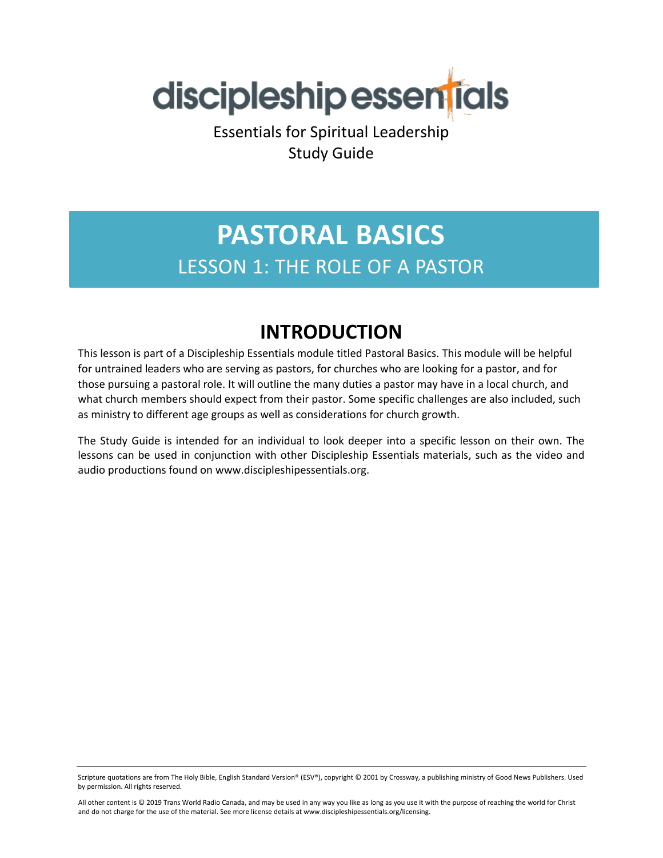

Essentials for Spiritual Leadership Study Guide

## **PASTORAL BASICS** LESSON 1: THE ROLE OF A PASTOR

### **INTRODUCTION**

This lesson is part of a Discipleship Essentials module titled Pastoral Basics. This module will be helpful for untrained leaders who are serving as pastors, for churches who are looking for a pastor, and for those pursuing a pastoral role. It will outline the many duties a pastor may have in a local church, and what church members should expect from their pastor. Some specific challenges are also included, such as ministry to different age groups as well as considerations for church growth.

The Study Guide is intended for an individual to look deeper into a specific lesson on their own. The lessons can be used in conjunction with other Discipleship Essentials materials, such as the video and audio productions found on www.discipleshipessentials.org.

Scripture quotations are from The Holy Bible, English Standard Version® (ESV®), copyright © 2001 by Crossway, a publishing ministry of Good News Publishers. Used by permission. All rights reserved.

All other content is © 2019 Trans World Radio Canada, and may be used in any way you like as long as you use it with the purpose of reaching the world for Christ and do not charge for the use of the material. See more license details at www.discipleshipessentials.org/licensing.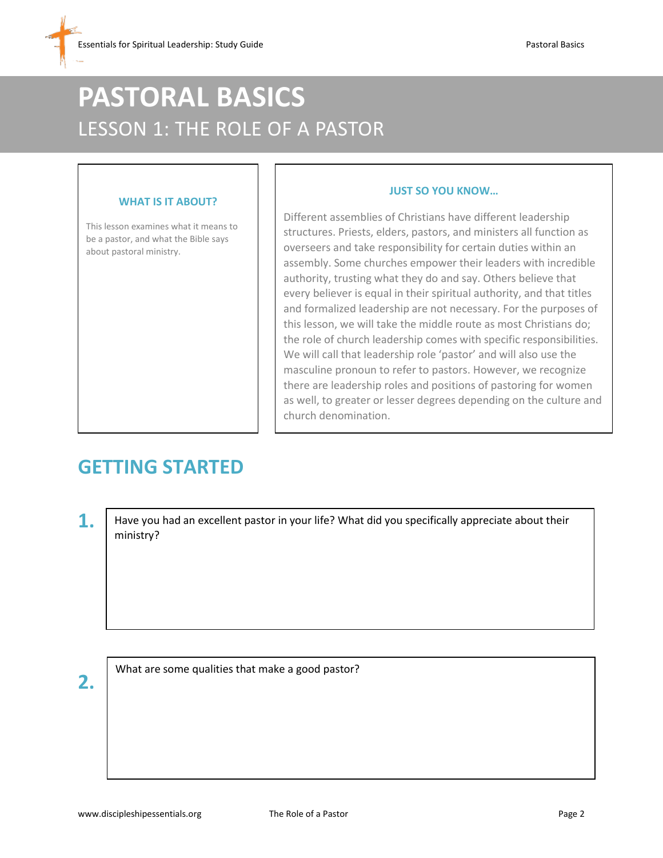# **PASTORAL BASICS** LESSON 1: THE ROLE OF A PASTOR

#### **WHAT IS IT ABOUT?**

This lesson examines what it means to be a pastor, and what the Bible says about pastoral ministry.

#### **JUST SO YOU KNOW…**

Different assemblies of Christians have different leadership structures. Priests, elders, pastors, and ministers all function as overseers and take responsibility for certain duties within an assembly. Some churches empower their leaders with incredible authority, trusting what they do and say. Others believe that every believer is equal in their spiritual authority, and that titles and formalized leadership are not necessary. For the purposes of this lesson, we will take the middle route as most Christians do; the role of church leadership comes with specific responsibilities. We will call that leadership role 'pastor' and will also use the masculine pronoun to refer to pastors. However, we recognize there are leadership roles and positions of pastoring for women as well, to greater or lesser degrees depending on the culture and church denomination.

### **GETTING STARTED**

**1.** Have you had an excellent pastor in your life? What did you specifically appreciate about their ministry?

**2.**

What are some qualities that make a good pastor?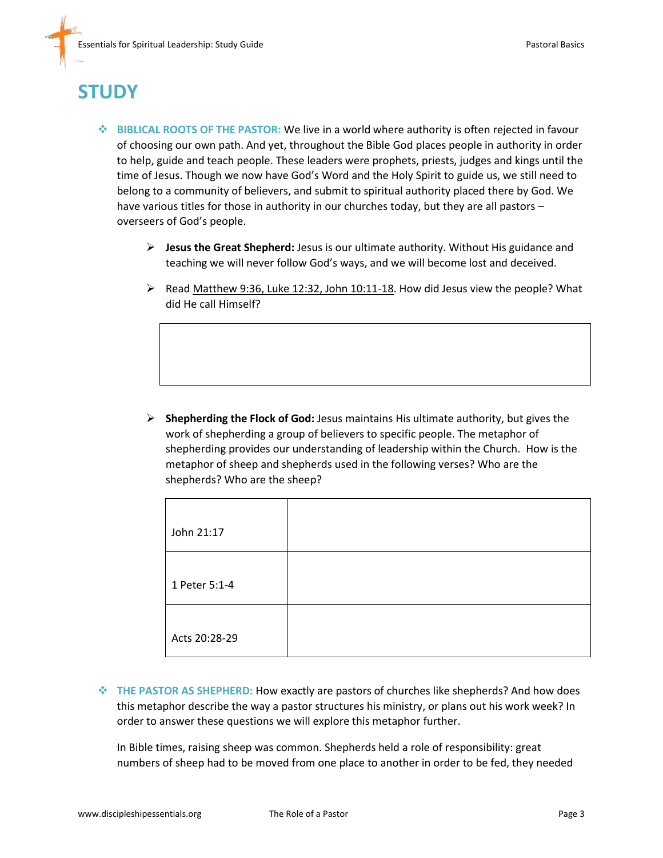## **STUDY**

- **BIBLICAL ROOTS OF THE PASTOR:** We live in a world where authority is often rejected in favour of choosing our own path. And yet, throughout the Bible God places people in authority in order to help, guide and teach people. These leaders were prophets, priests, judges and kings until the time of Jesus. Though we now have God's Word and the Holy Spirit to guide us, we still need to belong to a community of believers, and submit to spiritual authority placed there by God. We have various titles for those in authority in our churches today, but they are all pastors – overseers of God's people.
	- **Jesus the Great Shepherd:** Jesus is our ultimate authority. Without His guidance and teaching we will never follow God's ways, and we will become lost and deceived.
	- $\triangleright$  Read Matthew 9:36, Luke 12:32, John 10:11-18. How did Jesus view the people? What did He call Himself?

 **Shepherding the Flock of God:** Jesus maintains His ultimate authority, but gives the work of shepherding a group of believers to specific people. The metaphor of shepherding provides our understanding of leadership within the Church. How is the metaphor of sheep and shepherds used in the following verses? Who are the shepherds? Who are the sheep?

| John 21:17    |  |
|---------------|--|
| 1 Peter 5:1-4 |  |
| Acts 20:28-29 |  |

 **THE PASTOR AS SHEPHERD:** How exactly are pastors of churches like shepherds? And how does this metaphor describe the way a pastor structures his ministry, or plans out his work week? In order to answer these questions we will explore this metaphor further.

In Bible times, raising sheep was common. Shepherds held a role of responsibility: great numbers of sheep had to be moved from one place to another in order to be fed, they needed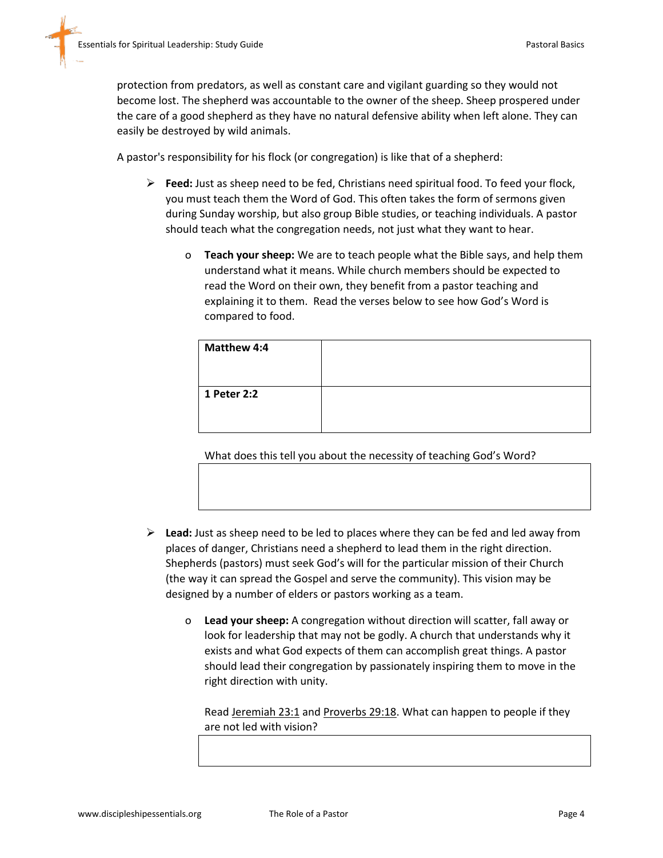protection from predators, as well as constant care and vigilant guarding so they would not become lost. The shepherd was accountable to the owner of the sheep. Sheep prospered under the care of a good shepherd as they have no natural defensive ability when left alone. They can easily be destroyed by wild animals.

A pastor's responsibility for his flock (or congregation) is like that of a shepherd:

- **Feed:** Just as sheep need to be fed, Christians need spiritual food. To feed your flock, you must teach them the Word of God. This often takes the form of sermons given during Sunday worship, but also group Bible studies, or teaching individuals. A pastor should teach what the congregation needs, not just what they want to hear.
	- o **Teach your sheep:** We are to teach people what the Bible says, and help them understand what it means. While church members should be expected to read the Word on their own, they benefit from a pastor teaching and explaining it to them. Read the verses below to see how God's Word is compared to food.

| <b>Matthew 4:4</b> |  |
|--------------------|--|
| 1 Peter 2:2        |  |
|                    |  |

What does this tell you about the necessity of teaching God's Word?

- **Lead:** Just as sheep need to be led to places where they can be fed and led away from places of danger, Christians need a shepherd to lead them in the right direction. Shepherds (pastors) must seek God's will for the particular mission of their Church (the way it can spread the Gospel and serve the community). This vision may be designed by a number of elders or pastors working as a team.
	- o **Lead your sheep:** A congregation without direction will scatter, fall away or look for leadership that may not be godly. A church that understands why it exists and what God expects of them can accomplish great things. A pastor should lead their congregation by passionately inspiring them to move in the right direction with unity.

Read Jeremiah 23:1 and Proverbs 29:18. What can happen to people if they are not led with vision?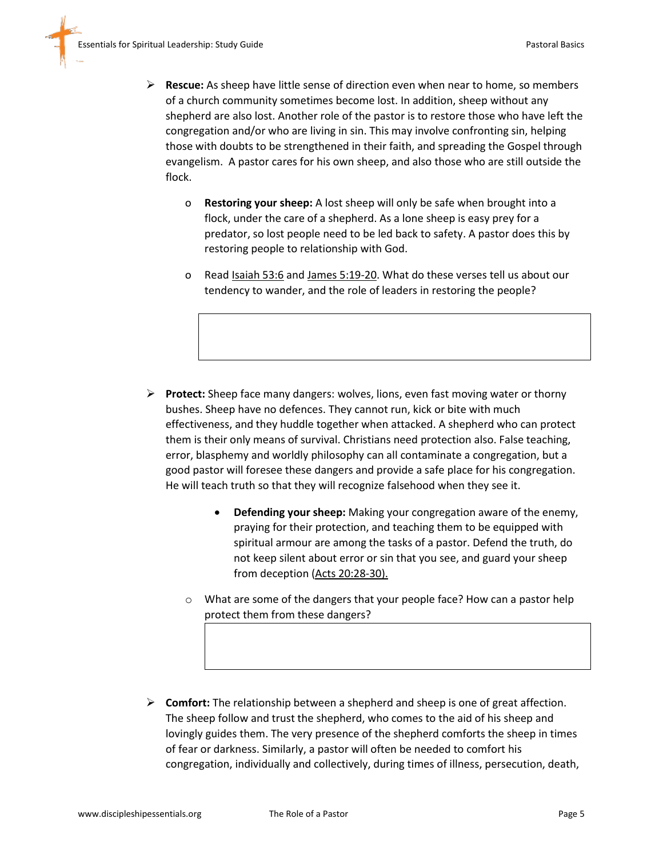- **Rescue:** As sheep have little sense of direction even when near to home, so members of a church community sometimes become lost. In addition, sheep without any shepherd are also lost. Another role of the pastor is to restore those who have left the congregation and/or who are living in sin. This may involve confronting sin, helping those with doubts to be strengthened in their faith, and spreading the Gospel through evangelism. A pastor cares for his own sheep, and also those who are still outside the flock.
	- o **Restoring your sheep:** A lost sheep will only be safe when brought into a flock, under the care of a shepherd. As a lone sheep is easy prey for a predator, so lost people need to be led back to safety. A pastor does this by restoring people to relationship with God.
	- o Read Isaiah 53:6 and James 5:19-20. What do these verses tell us about our tendency to wander, and the role of leaders in restoring the people?

- **Protect:** Sheep face many dangers: wolves, lions, even fast moving water or thorny bushes. Sheep have no defences. They cannot run, kick or bite with much effectiveness, and they huddle together when attacked. A shepherd who can protect them is their only means of survival. Christians need protection also. False teaching, error, blasphemy and worldly philosophy can all contaminate a congregation, but a good pastor will foresee these dangers and provide a safe place for his congregation. He will teach truth so that they will recognize falsehood when they see it.
	- **Defending your sheep:** Making your congregation aware of the enemy, praying for their protection, and teaching them to be equipped with spiritual armour are among the tasks of a pastor. Defend the truth, do not keep silent about error or sin that you see, and guard your sheep from deception (Acts 20:28-30).
	- o What are some of the dangers that your people face? How can a pastor help protect them from these dangers?
- **Comfort:** The relationship between a shepherd and sheep is one of great affection. The sheep follow and trust the shepherd, who comes to the aid of his sheep and lovingly guides them. The very presence of the shepherd comforts the sheep in times of fear or darkness. Similarly, a pastor will often be needed to comfort his congregation, individually and collectively, during times of illness, persecution, death,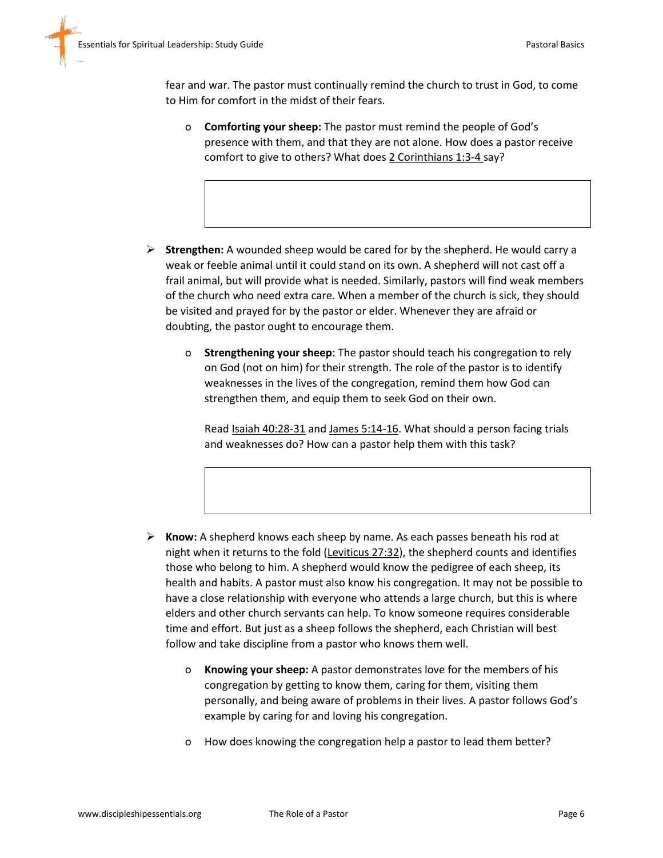fear and war. The pastor must continually remind the church to trust in God, to come to Him for comfort in the midst of their fears.

- o **Comforting your sheep:** The pastor must remind the people of God's presence with them, and that they are not alone. How does a pastor receive comfort to give to others? What does 2 Corinthians 1:3-4 say?
- **Strengthen:** A wounded sheep would be cared for by the shepherd. He would carry a weak or feeble animal until it could stand on its own. A shepherd will not cast off a frail animal, but will provide what is needed. Similarly, pastors will find weak members of the church who need extra care. When a member of the church is sick, they should be visited and prayed for by the pastor or elder. Whenever they are afraid or doubting, the pastor ought to encourage them.
	- o **Strengthening your sheep**: The pastor should teach his congregation to rely on God (not on him) for their strength. The role of the pastor is to identify weaknesses in the lives of the congregation, remind them how God can strengthen them, and equip them to seek God on their own.

Read Isaiah 40:28-31 and James 5:14-16. What should a person facing trials and weaknesses do? How can a pastor help them with this task?

- **Know:** A shepherd knows each sheep by name. As each passes beneath his rod at night when it returns to the fold (Leviticus 27:32), the shepherd counts and identifies those who belong to him. A shepherd would know the pedigree of each sheep, its health and habits. A pastor must also know his congregation. It may not be possible to have a close relationship with everyone who attends a large church, but this is where elders and other church servants can help. To know someone requires considerable time and effort. But just as a sheep follows the shepherd, each Christian will best follow and take discipline from a pastor who knows them well.
	- o **Knowing your sheep:** A pastor demonstrates love for the members of his congregation by getting to know them, caring for them, visiting them personally, and being aware of problems in their lives. A pastor follows God's example by caring for and loving his congregation.
	- o How does knowing the congregation help a pastor to lead them better?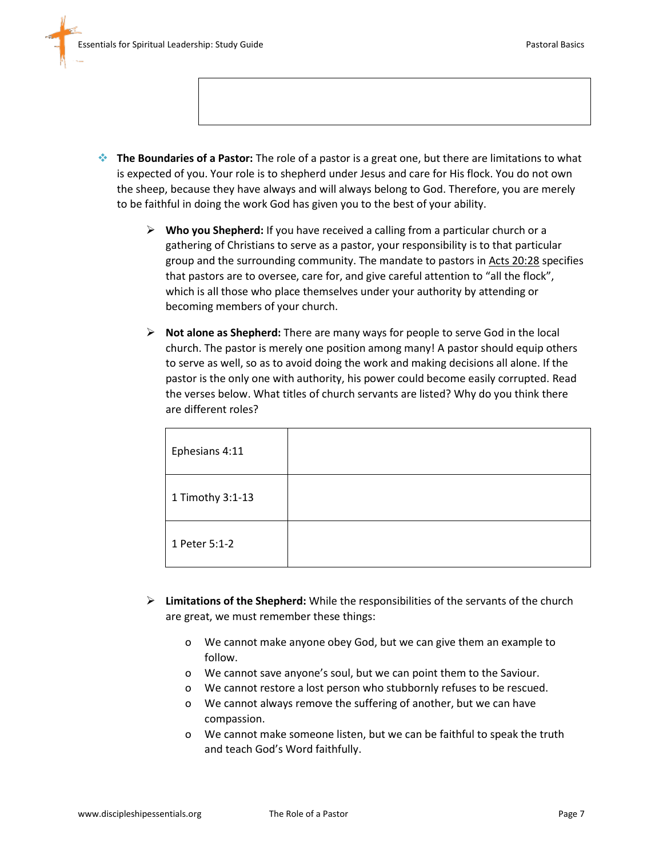- **The Boundaries of a Pastor:** The role of a pastor is a great one, but there are limitations to what is expected of you. Your role is to shepherd under Jesus and care for His flock. You do not own the sheep, because they have always and will always belong to God. Therefore, you are merely to be faithful in doing the work God has given you to the best of your ability.
	- **Who you Shepherd:** If you have received a calling from a particular church or a gathering of Christians to serve as a pastor, your responsibility is to that particular group and the surrounding community. The mandate to pastors in Acts 20:28 specifies that pastors are to oversee, care for, and give careful attention to "all the flock", which is all those who place themselves under your authority by attending or becoming members of your church.
	- **Not alone as Shepherd:** There are many ways for people to serve God in the local church. The pastor is merely one position among many! A pastor should equip others to serve as well, so as to avoid doing the work and making decisions all alone. If the pastor is the only one with authority, his power could become easily corrupted. Read the verses below. What titles of church servants are listed? Why do you think there are different roles?

| Ephesians 4:11   |  |
|------------------|--|
| 1 Timothy 3:1-13 |  |
| 1 Peter 5:1-2    |  |

- **Limitations of the Shepherd:** While the responsibilities of the servants of the church are great, we must remember these things:
	- o We cannot make anyone obey God, but we can give them an example to follow.
	- o We cannot save anyone's soul, but we can point them to the Saviour.
	- o We cannot restore a lost person who stubbornly refuses to be rescued.
	- o We cannot always remove the suffering of another, but we can have compassion.
	- o We cannot make someone listen, but we can be faithful to speak the truth and teach God's Word faithfully.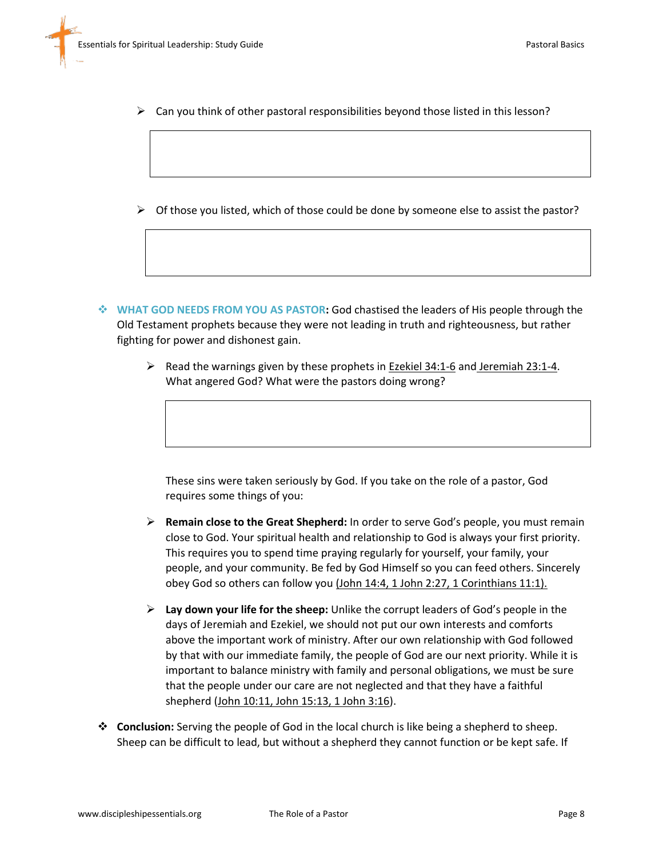- $\triangleright$  Can you think of other pastoral responsibilities beyond those listed in this lesson?
- $\triangleright$  Of those you listed, which of those could be done by someone else to assist the pastor?
- **WHAT GOD NEEDS FROM YOU AS PASTOR:** God chastised the leaders of His people through the Old Testament prophets because they were not leading in truth and righteousness, but rather fighting for power and dishonest gain.
	- $\triangleright$  Read the warnings given by these prophets in Ezekiel 34:1-6 and Jeremiah 23:1-4. What angered God? What were the pastors doing wrong?

These sins were taken seriously by God. If you take on the role of a pastor, God requires some things of you:

- **Remain close to the Great Shepherd:** In order to serve God's people, you must remain close to God. Your spiritual health and relationship to God is always your first priority. This requires you to spend time praying regularly for yourself, your family, your people, and your community. Be fed by God Himself so you can feed others. Sincerely obey God so others can follow you (John 14:4, 1 John 2:27, 1 Corinthians 11:1).
- **Lay down your life for the sheep:** Unlike the corrupt leaders of God's people in the days of Jeremiah and Ezekiel, we should not put our own interests and comforts above the important work of ministry. After our own relationship with God followed by that with our immediate family, the people of God are our next priority. While it is important to balance ministry with family and personal obligations, we must be sure that the people under our care are not neglected and that they have a faithful shepherd (John 10:11, John 15:13, 1 John 3:16).
- **Conclusion:** Serving the people of God in the local church is like being a shepherd to sheep. Sheep can be difficult to lead, but without a shepherd they cannot function or be kept safe. If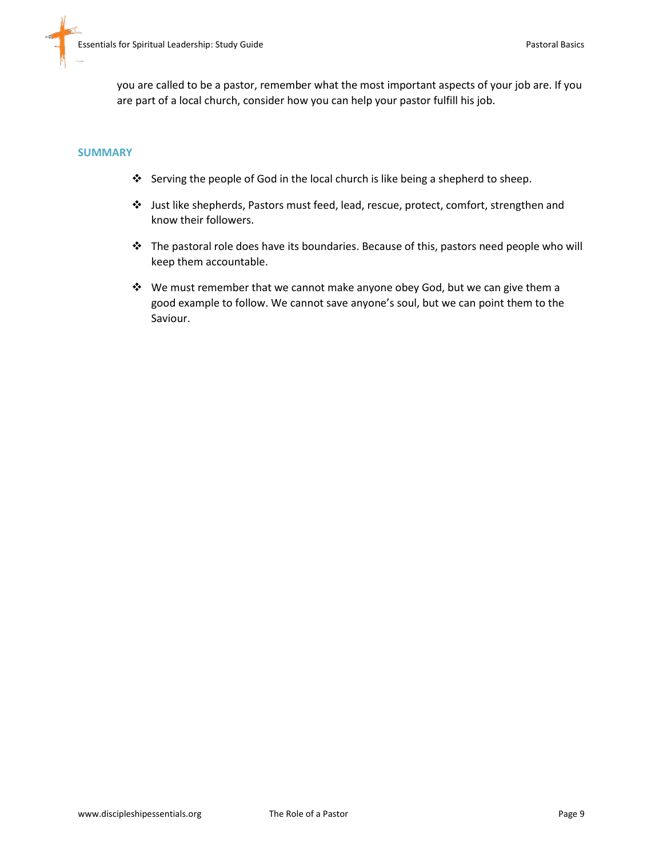you are called to be a pastor, remember what the most important aspects of your job are. If you are part of a local church, consider how you can help your pastor fulfill his job.

#### **SUMMARY**

- Serving the people of God in the local church is like being a shepherd to sheep.
- Just like shepherds, Pastors must feed, lead, rescue, protect, comfort, strengthen and know their followers.
- \* The pastoral role does have its boundaries. Because of this, pastors need people who will keep them accountable.
- \* We must remember that we cannot make anyone obey God, but we can give them a good example to follow. We cannot save anyone's soul, but we can point them to the Saviour.